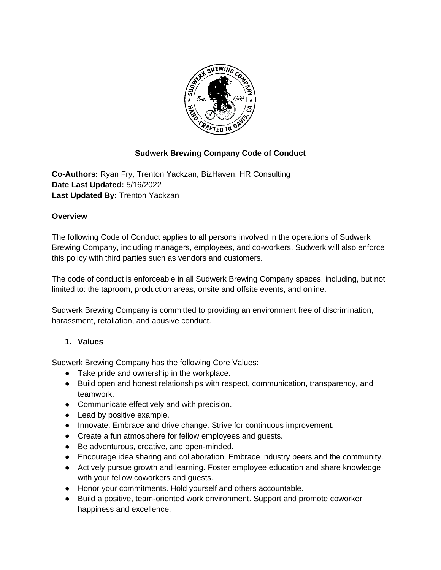

## **Sudwerk Brewing Company Code of Conduct**

**Co-Authors:** Ryan Fry, Trenton Yackzan, BizHaven: HR Consulting **Date Last Updated:** 5/16/2022 **Last Updated By:** Trenton Yackzan

#### **Overview**

The following Code of Conduct applies to all persons involved in the operations of Sudwerk Brewing Company, including managers, employees, and co-workers. Sudwerk will also enforce this policy with third parties such as vendors and customers.

The code of conduct is enforceable in all Sudwerk Brewing Company spaces, including, but not limited to: the taproom, production areas, onsite and offsite events, and online.

Sudwerk Brewing Company is committed to providing an environment free of discrimination, harassment, retaliation, and abusive conduct.

### **1. Values**

Sudwerk Brewing Company has the following Core Values:

- Take pride and ownership in the workplace.
- Build open and honest relationships with respect, communication, transparency, and teamwork.
- Communicate effectively and with precision.
- Lead by positive example.
- Innovate. Embrace and drive change. Strive for continuous improvement.
- Create a fun atmosphere for fellow employees and guests.
- Be adventurous, creative, and open-minded.
- Encourage idea sharing and collaboration. Embrace industry peers and the community.
- Actively pursue growth and learning. Foster employee education and share knowledge with your fellow coworkers and guests.
- Honor your commitments. Hold yourself and others accountable.
- Build a positive, team-oriented work environment. Support and promote coworker happiness and excellence.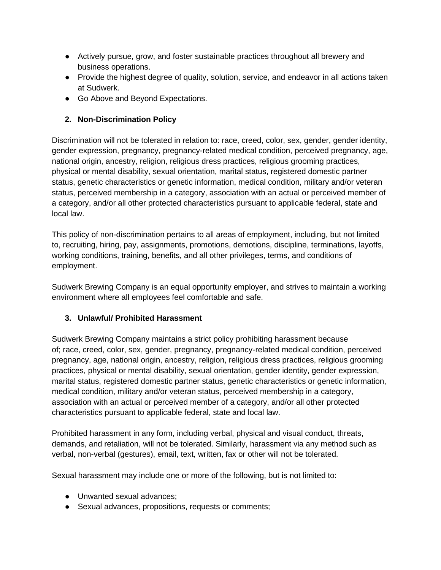- Actively pursue, grow, and foster sustainable practices throughout all brewery and business operations.
- Provide the highest degree of quality, solution, service, and endeavor in all actions taken at Sudwerk.
- Go Above and Beyond Expectations.

## **2. Non-Discrimination Policy**

Discrimination will not be tolerated in relation to: race, creed, color, sex, gender, gender identity, gender expression, pregnancy, pregnancy-related medical condition, perceived pregnancy, age, national origin, ancestry, religion, religious dress practices, religious grooming practices, physical or mental disability, sexual orientation, marital status, registered domestic partner status, genetic characteristics or genetic information, medical condition, military and/or veteran status, perceived membership in a category, association with an actual or perceived member of a category, and/or all other protected characteristics pursuant to applicable federal, state and local law.

This policy of non-discrimination pertains to all areas of employment, including, but not limited to, recruiting, hiring, pay, assignments, promotions, demotions, discipline, terminations, layoffs, working conditions, training, benefits, and all other privileges, terms, and conditions of employment.

Sudwerk Brewing Company is an equal opportunity employer, and strives to maintain a working environment where all employees feel comfortable and safe.

## **3. Unlawful/ Prohibited Harassment**

Sudwerk Brewing Company maintains a strict policy prohibiting harassment because of; race, creed, color, sex, gender, pregnancy, pregnancy-related medical condition, perceived pregnancy, age, national origin, ancestry, religion, religious dress practices, religious grooming practices, physical or mental disability, sexual orientation, gender identity, gender expression, marital status, registered domestic partner status, genetic characteristics or genetic information, medical condition, military and/or veteran status, perceived membership in a category, association with an actual or perceived member of a category, and/or all other protected characteristics pursuant to applicable federal, state and local law.

Prohibited harassment in any form, including verbal, physical and visual conduct, threats, demands, and retaliation, will not be tolerated. Similarly, harassment via any method such as verbal, non-verbal (gestures), email, text, written, fax or other will not be tolerated.

Sexual harassment may include one or more of the following, but is not limited to:

- Unwanted sexual advances:
- Sexual advances, propositions, requests or comments;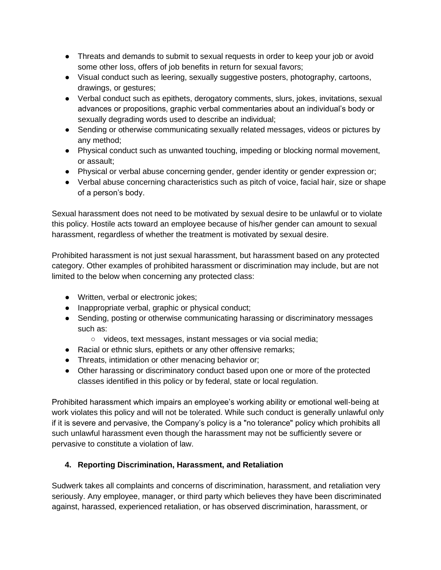- Threats and demands to submit to sexual requests in order to keep your job or avoid some other loss, offers of job benefits in return for sexual favors;
- Visual conduct such as leering, sexually suggestive posters, photography, cartoons, drawings, or gestures;
- Verbal conduct such as epithets, derogatory comments, slurs, jokes, invitations, sexual advances or propositions, graphic verbal commentaries about an individual's body or sexually degrading words used to describe an individual;
- Sending or otherwise communicating sexually related messages, videos or pictures by any method;
- Physical conduct such as unwanted touching, impeding or blocking normal movement, or assault;
- Physical or verbal abuse concerning gender, gender identity or gender expression or;
- Verbal abuse concerning characteristics such as pitch of voice, facial hair, size or shape of a person's body.

Sexual harassment does not need to be motivated by sexual desire to be unlawful or to violate this policy. Hostile acts toward an employee because of his/her gender can amount to sexual harassment, regardless of whether the treatment is motivated by sexual desire.

Prohibited harassment is not just sexual harassment, but harassment based on any protected category. Other examples of prohibited harassment or discrimination may include, but are not limited to the below when concerning any protected class:

- Written, verbal or electronic jokes;
- Inappropriate verbal, graphic or physical conduct;
- Sending, posting or otherwise communicating harassing or discriminatory messages such as:
	- videos, text messages, instant messages or via social media;
- Racial or ethnic slurs, epithets or any other offensive remarks;
- Threats, intimidation or other menacing behavior or;
- Other harassing or discriminatory conduct based upon one or more of the protected classes identified in this policy or by federal, state or local regulation.

Prohibited harassment which impairs an employee's working ability or emotional well-being at work violates this policy and will not be tolerated. While such conduct is generally unlawful only if it is severe and pervasive, the Company's policy is a "no tolerance" policy which prohibits all such unlawful harassment even though the harassment may not be sufficiently severe or pervasive to constitute a violation of law.

# **4. Reporting Discrimination, Harassment, and Retaliation**

Sudwerk takes all complaints and concerns of discrimination, harassment, and retaliation very seriously. Any employee, manager, or third party which believes they have been discriminated against, harassed, experienced retaliation, or has observed discrimination, harassment, or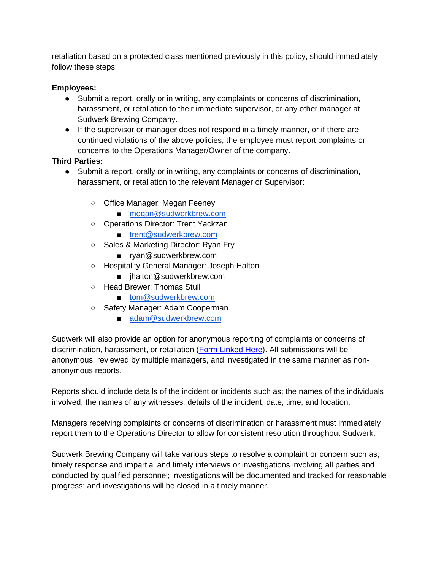retaliation based on a protected class mentioned previously in this policy, should immediately follow these steps:

### **Employees:**

- Submit a report, orally or in writing, any complaints or concerns of discrimination, harassment, or retaliation to their immediate supervisor, or any other manager at Sudwerk Brewing Company.
- If the supervisor or manager does not respond in a timely manner, or if there are continued violations of the above policies, the employee must report complaints or concerns to the Operations Manager/Owner of the company.

#### **Third Parties:**

- Submit a report, orally or in writing, any complaints or concerns of discrimination, harassment, or retaliation to the relevant Manager or Supervisor:
	- Office Manager: Megan Feeney
		- [megan@sudwerkbrew.com](mailto:megan@sudwerkbrew.com)
	- Operations Director: Trent Yackzan
		- [trent@sudwerkbrew.com](mailto:trent@sudwerkbrew.com)
	- Sales & Marketing Director: Ryan Fry
		- ryan@sudwerkbrew.com
	- Hospitality General Manager: Joseph Halton
		- jhalton@sudwerkbrew.com
	- Head Brewer: Thomas Stull
		- [tom@sudwerkbrew.com](mailto:tom@sudwerkbrew.com)
	- Safety Manager: Adam Cooperman
		- [adam@sudwerkbrew.com](mailto:adam@sudwerkbrew.com)

Sudwerk will also provide an option for anonymous reporting of complaints or concerns of discrimination, harassment, or retaliation [\(Form Linked Here\)](https://docs.google.com/spreadsheets/d/1DkxWQXlLwnB_-fMluyg01N5dkfbmeYwnQG29m2Xzrr0/edit#gid=0). All submissions will be anonymous, reviewed by multiple managers, and investigated in the same manner as nonanonymous reports.

Reports should include details of the incident or incidents such as; the names of the individuals involved, the names of any witnesses, details of the incident, date, time, and location.

Managers receiving complaints or concerns of discrimination or harassment must immediately report them to the Operations Director to allow for consistent resolution throughout Sudwerk.

Sudwerk Brewing Company will take various steps to resolve a complaint or concern such as; timely response and impartial and timely interviews or investigations involving all parties and conducted by qualified personnel; investigations will be documented and tracked for reasonable progress; and investigations will be closed in a timely manner.